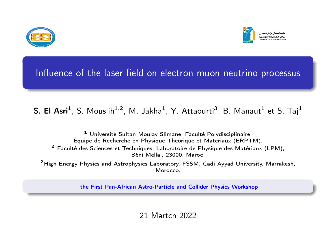



# Influence of the laser field on electron muon neutrino processus

## $S.$  El Asri $^1$ , S. Mouslih $^{1,2}$ , M. Jakha $^1$ , Y. Attaourti $^3$ , B. Manaut $^1$  et S. Taj $^1$

<sup>1</sup> Université Sultan Moulay Slimane, Faculté Polydisciplinaire, Équipe de Recherche en Physique Théorique et Matériaux (ERPTM). <sup>2</sup> Faculté des Sciences et Techniques, Laboratoire de Physique des Matériaux (LPM), Béni Mellal, 23000, Maroc.

<sup>2</sup>High Energy Physics and Astrophysics Laboratory, FSSM, Cadi Ayyad University, Marrakesh, **Morocco** 

the First Pan-African Astro-Particle and Collider Physics Workshop

21 Martch 2022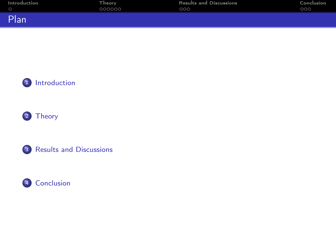| Introduction | <b>Theory</b> | <b>Results and Discussions</b> | Conclusion |
|--------------|---------------|--------------------------------|------------|
|              | 000000        | 000                            | 000        |
| Plan         |               |                                |            |







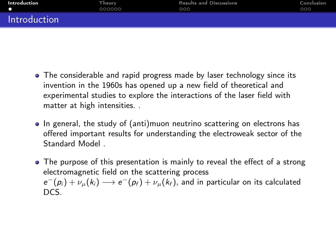<span id="page-2-0"></span>

| <b>Introduction</b> | Theory. | <b>Results and Discussions</b> | Conclusion |
|---------------------|---------|--------------------------------|------------|
|                     | 000000  | 000                            | 000        |
| Introduction        |         |                                |            |

- The considerable and rapid progress made by laser technology since its invention in the 1960s has opened up a new field of theoretical and experimental studies to explore the interactions of the laser field with matter at high intensities. .
- In general, the study of (anti)muon neutrino scattering on electrons has offered important results for understanding the electroweak sector of the Standard Model .
- The purpose of this presentation is mainly to reveal the effect of a strong electromagnetic field on the scattering process  $e^-(p_i)+\nu_\mu(k_i)\longrightarrow e^-(p_f)+\nu_\mu(k_f),$  and in particular on its calculated DCS.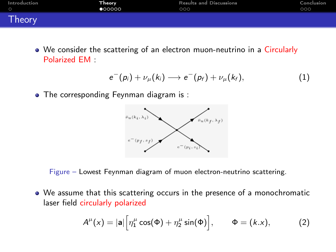<span id="page-3-0"></span>

| Introduction | .Theory 1 | <b>Results and Discussions</b> | Conclusion |
|--------------|-----------|--------------------------------|------------|
|              | 000000    | 000                            | 000        |
| Theory       |           |                                |            |

We consider the scattering of an electron muon-neutrino in a Circularly Polarized EM :

$$
e^-(p_i)+\nu_\mu(k_i)\longrightarrow e^-(p_f)+\nu_\mu(k_f),\qquad \qquad (1)
$$

• The corresponding Feynman diagram is :



Figure – Lowest Feynman diagram of muon electron-neutrino scattering.

We assume that this scattering occurs in the presence of a monochromatic laser field circularly polarized

$$
A^{\mu}(x) = |\mathbf{a}| \Big[ \eta_1^{\mu} \cos(\Phi) + \eta_2^{\mu} \sin(\Phi) \Big], \qquad \Phi = (k.x), \tag{2}
$$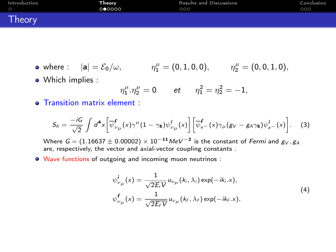| Introduction | Theory  | <b>Results and Discussions</b> | Conclusion |
|--------------|---------|--------------------------------|------------|
| $\circ$      | 0 00000 | 000                            | 000        |
| Theory       |         |                                |            |

- where  $\colon$   $|a| = \mathcal{E}_0/\omega$ ,  $\eta_1^{\mu} = (0, 1, 0, 0), \qquad \eta_2^{\mu} = (0, 0, 1, 0),$
- Which implies :

$$
\eta_1^{\mu}.\eta_2^{\mu} = 0 \qquad \text{et} \qquad \eta_1^2 = \eta_2^2 = -1,
$$

• Transition matrix element :

$$
S_{\tilde{n}} = \frac{-iG}{\sqrt{2}} \int d^4x \left[ \overline{\psi}_{\nu\mu}^f(x) \gamma^\mu (1 - \gamma_5) \psi_{\nu\mu}^i(x) \right] \left[ \overline{\psi}_{e^-}^f(x) \gamma_\mu (g_V - g_A \gamma_5) \psi_{e^-}^i(x) \right].
$$
 (3)

Where  $\mathit{G} = (1.16637 \pm 0.00002) \times 10^{-11} \mathit{MeV}^{-2}$  is the constant of *Fermi* and  $g_V, g_A$ are, respectively, the vector and axial-vector coupling constants.

Wave functions of outgoing and incoming muon neutrinos :

$$
\psi_{\nu\mu}^{i}(x) = \frac{1}{\sqrt{2E_{i}V}} u_{\nu\mu}(k_{i}, \lambda_{i}) \exp(-ik_{i}.x),
$$
  

$$
\psi_{\nu\mu}^{f}(x) = \frac{1}{\sqrt{2E_{f}V}} u_{\nu\mu}(k_{f}, \lambda_{f}) \exp(-ik_{f}.x),
$$
\n(4)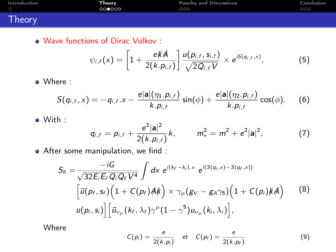| Introduction | Theorv | <b>Results and Discussions</b> | Conclusion |
|--------------|--------|--------------------------------|------------|
| - റ          | 000000 | 000                            | 000        |
| Theory       |        |                                |            |

Wave functions of Dirac Volkov :

$$
\psi_{i,f}(x)=\left[1+\frac{e\not\! A}{2(k.p_{i,f})}\right]\frac{u(p_{i,f},s_{i,f})}{\sqrt{2Q_{i,f}V}}\times e^{iS(q_{i,f},x)},\qquad\qquad(5)
$$

Where :

$$
S(q_{i,f},x) = -q_{i,f}.x - \frac{e|a|(n_1.p_{i,f})}{k.p_{i,f}} \sin(\phi) + \frac{e|a|(n_2.p_{i,f})}{k.p_{i,f}} \cos(\phi). \quad (6)
$$

With :

$$
q_{i,f} = p_{i,f} + \frac{e^2 |\mathbf{a}|^2}{2(k.p_{i,f})} k, \qquad m_*^2 = m^2 + e^2 |\mathbf{a}|^2, \tag{7}
$$

After some manipulation, we find :

$$
S_{fi} = \frac{-iG}{\sqrt{32E_iE_fQ_iQ_fV^4}} \int dx e^{i(k_f - k_i)x} e^{i(S(q_i,x) - S(q_f,x))}
$$

$$
\left[\bar{u}(p_f, s_f)\left(1 + C(p_f)A\mu\right) \times \gamma_\mu(g_V - g_A \gamma_5)\left(1 + C(p_i)\mu A\right)\right]
$$

$$
u(p_i, s_i)\right] \left[\bar{u}_{\nu_\mu}(k_f, \lambda_f)\gamma^\mu(1 - \gamma^5)u_{\nu_\mu}(k_i, \lambda_i)\right],
$$
(8)

Where

$$
C(p_i) = \frac{e}{2(k.p_i)} \quad et \quad C(p_f) = \frac{e}{2(k.p_f)}
$$
 (9)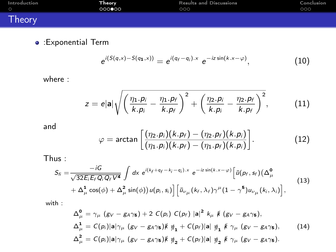| Introduction | . Theory | <b>Results and Discussions</b> | Conclusion |
|--------------|----------|--------------------------------|------------|
| $\circ$      | 000000   | 000                            | 000        |
| Theory       |          |                                |            |

:Exponential Term

$$
e^{i(S(q,x)-S(q_1,x))}=e^{i(q_f-q_i).x} e^{-iz\sin(k.x-\varphi)}, \qquad (10)
$$

where :

$$
z = e|\mathbf{a}| \sqrt{\left(\frac{\eta_1.p_i}{k.p_i} - \frac{\eta_1.p_f}{k.p_f}\right)^2 + \left(\frac{\eta_2.p_i}{k.p_i} - \frac{\eta_2.p_f}{k.p_f}\right)^2},\tag{11}
$$

and

$$
\varphi = \arctan\left[\frac{(\eta_2.p_i)(k.p_f) - (\eta_2.p_f)(k.p_i)}{(\eta_1.p_i)(k.p_f) - (\eta_1.p_f)(k.p_i)}\right].
$$
\n(12)

Thus :

$$
S_{fi} = \frac{-iG}{\sqrt{32E_iE_fQ_iQ_fV^4}} \int dx e^{i(k_f+q_f-k_f-q_i).x} e^{-iz\sin(k.x-\varphi)} \Big[ \bar{u}(\rho_f, s_f) (\Delta^0_{\mu} + \Delta^1_{\mu} \cos(\phi) + \Delta^2_{\mu} \sin(\phi)) u(\rho_i, s_i) \Big] \Big[ \bar{u}_{\nu\mu}(k_f, \lambda_f) \gamma^{\mu} (1-\gamma^5) u_{\nu\mu}(k_i, \lambda_i) \Big], \tag{13}
$$

with :

$$
\Delta_{\mu}^{\mathbf{0}} = \gamma_{\mu} (g_V - g_A \gamma_5) + 2 C(p_i) C(p_f) |a|^2 k_{\mu} k (g_V - g_A \gamma_5),
$$
  
\n
$$
\Delta_{\mu}^{\mathbf{1}} = C(p_i) |a| \gamma_{\mu} (g_V - g_A \gamma_5) k \eta_1 + C(p_f) |a| \eta_1 k \gamma_{\mu} (g_V - g_A \gamma_5),
$$
\n
$$
\Delta_{\mu}^2 = C(p_i) |a| \gamma_{\mu} (g_V - g_A \gamma_5) k \eta_2 + C(p_f) |a| \eta_2 k \gamma_{\mu} (g_V - g_A \gamma_5).
$$
\n(14)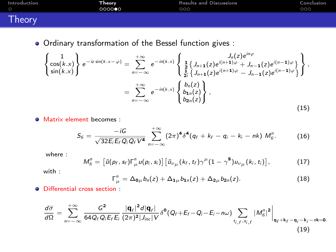| Introduction | Theory ! | <b>Results and Discussions</b> | Conclusion |
|--------------|----------|--------------------------------|------------|
| $\circ$      | 0000     | 000                            | 000        |
| Theory       |          |                                |            |

Ordinary transformation of the Bessel function gives :

$$
\begin{aligned}\n\left\{\n\begin{array}{l}\n1 \\
\cos(k.x) \\
\sin(k.x)\n\end{array}\n\right\} e^{-iz\sin(k.x-\varphi)} &=\n\sum_{n=-\infty}^{+\infty} e^{-in(k.x)} \n\begin{Bmatrix}\nJ_n(z)e^{in\varphi} \\
\frac{1}{2} \{J_{n+1}(z)e^{i(n+1)\varphi} + J_{n-1}(z)e^{i(n-1)\varphi}\} \\
\frac{1}{2} \{J_{n+1}(z)e^{i(n+1)\varphi} - J_{n-1}(z)e^{i(n-1)\varphi}\}\n\end{Bmatrix}, \\
&= \sum_{n=-\infty}^{+\infty} e^{-in(k.x)} \n\begin{Bmatrix}\nb_n(z) \\
b_{n}(z) \\
b_{2n}(z)\n\end{Bmatrix},\n\end{aligned}
$$
\n(15)

**• Matrix element becomes :** 

$$
S_{fi} = \frac{-iG}{\sqrt{32E_iE_fQ_iQ_fV^4}} \sum_{n=-\infty}^{+\infty} (2\pi)^4 \delta^4(q_f + k_f - q_i - k_i - nk) M_{fi}^n.
$$
 (16)

where :

$$
M_{\tilde{h}}^n = \left[ \bar{u} (p_f, s_f) \Gamma_{\mu}^n u(p_i, s_i) \right] \left[ \bar{u}_{\nu\mu} (k_f, t_f) \gamma^{\mu} (1 - \gamma^5) u_{\nu\mu} (k_i, t_i) \right], \tag{17}
$$

with :

$$
\Gamma_{\mu}^{n}=\Delta_{\mathbf{0}\mu}b_{n}(z)+\Delta_{\mathbf{1}\mu}b_{\mathbf{1}n}(z)+\Delta_{\mathbf{2}\mu}b_{\mathbf{2}n}(z).
$$
 (18)

Differential cross section :

$$
\frac{d\overline{\sigma}}{d\Omega} = \sum_{n=-\infty}^{+\infty} \frac{G^2}{64Q_fQ_iE_fE_i} \frac{|\mathbf{q}_f|^2 d|\mathbf{q}_f|}{(2\pi)^2|J_{inc}|V} \delta^{\mathbf{0}}(Q_f + E_f - Q_i - E_i - n\omega) \sum_{t_j, f, s_{j,f}} |M_{fi}^n|^2 \bigg|_{\mathbf{q}_f + \mathbf{k}_f - \mathbf{q}_i - \mathbf{k}_i - n\mathbf{k} = \mathbf{0}}.
$$
\n(19)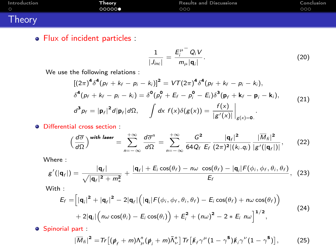| Introduction | .Theory | <b>Results and Discussions</b> | Conclusion |
|--------------|---------|--------------------------------|------------|
| - C          | 00000   | 000                            | 000        |
| Theory       |         |                                |            |

• Flux of incident particles :

$$
\frac{1}{|J_{inc}|} = \frac{E_i^{\mu^-} Q_i V}{m_{\mu} |\mathbf{q}_i|}.
$$
 (20)

We use the following relations :

$$
[(2\pi)^4 \delta^4 (p_f + k_f - p_i - k_i)]^2 = VT(2\pi)^4 \delta^4 (p_f + k_f - p_i - k_i),
$$
  
\n
$$
\delta^4 (p_f + k_f - p_i - k_i) = \delta^0 (p_f^0 + E_f - p_i^0 - E_i) \delta^3 (\mathbf{p}_f + \mathbf{k}_f - \mathbf{p}_i - \mathbf{k}_i),
$$
  
\n
$$
d^3 p_f = |\mathbf{p}_f|^2 d|\mathbf{p}_f| d\Omega, \qquad \int dx \ f(x) \delta(g(x)) = \frac{f(x)}{|g'(x)|} \Big|_{g(x) = 0}.
$$
\n(21)

Differential cross section :

$$
\left(\frac{d\overline{\sigma}}{d\Omega}\right)^{\text{with laser}} = \sum_{n=-\infty}^{+\infty} \frac{d\overline{\sigma}^n}{d\Omega} = \sum_{n=-\infty}^{+\infty} \frac{G^2}{64Q_f E_f} \frac{|\mathbf{q}_f|^2}{(2\pi)^2 |(k_i \cdot q_i)|} \frac{|\overline{M}_{fi}|^2}{|g'(|\mathbf{q}_f)|},\qquad(22)
$$

Where :

$$
g'(|\mathbf{q}_f|)=\frac{|\mathbf{q}_f|}{\sqrt{|\mathbf{q}_f|^2+m_*^2}}+\frac{|\mathbf{q}_f|+E_i\cos(\theta_f)-n\omega\cos(\theta_f)-|\mathbf{q}_i|F(\phi_i,\phi_f,\theta_i,\theta_f)}{E_f},
$$
(23)

With :

$$
E_f = \left[ |\mathbf{q}_i|^2 + |\mathbf{q}_f|^2 - 2|\mathbf{q}_f| \left( |\mathbf{q}_i| F(\phi_i, \phi_f, \theta_i, \theta_f) - E_i \cos(\theta_f) + n\omega \cos(\theta_f) \right) \right. \\ + 2|\mathbf{q}_i| \left( n\omega \cos(\theta_i) - E_i \cos(\theta_i) \right) + E_i^2 + (n\omega)^2 - 2 * E_i n\omega \right]^{1/2}, \tag{24}
$$

**O** Spinorial part :

$$
|\overline{M}_{\scriptscriptstyle \tilde{f}}|^2 = \text{Tr}\left[ (\rlap{\,/}\psi_{\scriptscriptstyle f} + m) \Lambda^{\scriptscriptstyle n}_{\scriptscriptstyle \mu} (\rlap{\,/}\psi_{\scriptscriptstyle i} + m) \bar{\Lambda}^{\scriptscriptstyle n}_{\scriptscriptstyle \nu} \right] \text{Tr}\left[ \rlap{\,/}\psi_{\scriptscriptstyle f} \gamma^{\mu} (1 - \gamma^5) \rlap{\,/}\psi_{\scriptscriptstyle i} \gamma^{\nu} (1 - \gamma^5) \right], \tag{25}
$$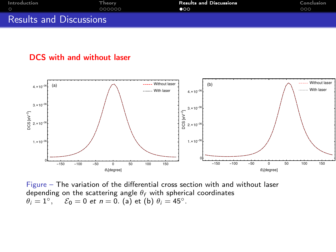<span id="page-9-0"></span>

| Introduction                   | Theory. | <b>Results and Discussions</b> | Conclusion |
|--------------------------------|---------|--------------------------------|------------|
|                                | nnnnn í | ൈ                              | 000        |
| <b>Results and Discussions</b> |         |                                |            |

### DCS with and without laser



Figure – The variation of the differential cross section with and without laser depending on the scattering angle  $\theta_f$  with spherical coordinates  $\theta_i = 1^\circ, \quad \mathcal{E}_0 = 0$  et  $n = 0$ . (a) et (b)  $\theta_i = 45^\circ$ .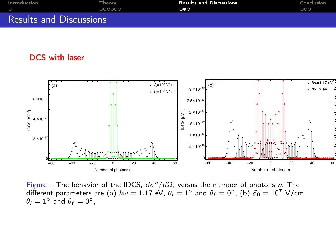| Introduction                   | Theory. | <b>Results and Discussions</b> | Conclusion |
|--------------------------------|---------|--------------------------------|------------|
|                                | 000000  | ററെ                            | 000        |
| <b>Results and Discussions</b> |         |                                |            |

## DCS with laser



Figure – The behavior of the IDCS,  $d\overline{\sigma}^n/d\Omega$ , versus the number of photons *n*. The different parameters are (a)  $\hbar\omega=1.17$  eV,  $\theta_i=1^\circ$  and  $\theta_f=0^\circ$ , (b)  $\mathcal{E}_0=10^7$  V/cm,  $\theta_i = 1^{\circ}$  and  $\theta_f = 0^{\circ}$ ,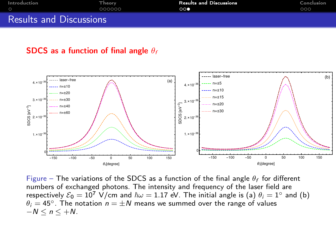| Introduction                   | Theory. | <b>Results and Discussions</b> | Conclusion |
|--------------------------------|---------|--------------------------------|------------|
|                                | nnnnn í | $\circ$                        | 000        |
| <b>Results and Discussions</b> |         |                                |            |

#### SDCS as a function of final angle  $\theta_f$



Figure – The variations of the SDCS as a function of the final angle  $\theta_f$  for different numbers of exchanged photons. The intensity and frequency of the laser field are respectively  $\mathcal{E}_0=10^7\,$  V/cm and  $\hbar\omega=1.17\,$  eV. The initial angle is (a)  $\theta_i=1^\circ$  and (b)  $\theta_i = 45^\circ$ . The notation  $n = \pm N$  means we summed over the range of values  $-N \le n \le +N$ .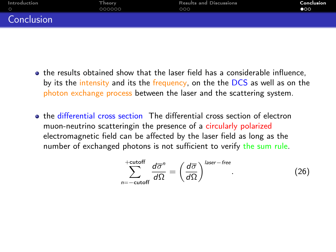<span id="page-12-0"></span>

| Introduction | Theory. | <b>Results and Discussions</b> | Conclusion   |
|--------------|---------|--------------------------------|--------------|
| $\circ$      | 000000  | 000                            | $\bullet$ 00 |
| Conclusion   |         |                                |              |

- the results obtained show that the laser field has a considerable influence, by its the intensity and its the frequency, on the the DCS as well as on the photon exchange process between the laser and the scattering system.
- the differential cross section The differential cross section of electron muon-neutrino scatteringin the presence of a circularly polarized electromagnetic field can be affected by the laser field as long as the number of exchanged photons is not sufficient to verify the sum rule.

$$
\sum_{n=-\text{cutoff}}^{+\text{cutoff}} \frac{d\overline{\sigma}^n}{d\Omega} = \left(\frac{d\overline{\sigma}}{d\Omega}\right)^{\text{laser-free}}.\tag{26}
$$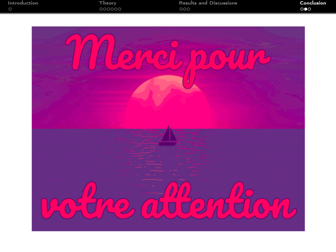